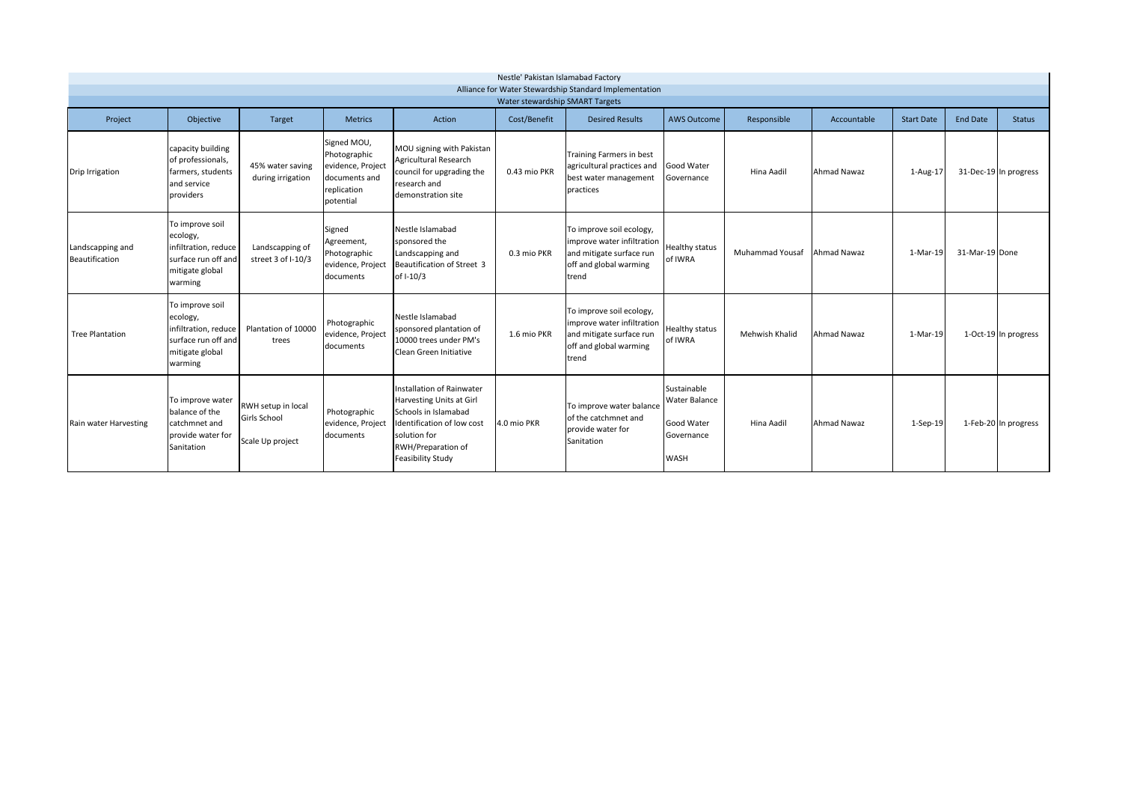| Nestle' Pakistan Islamabad Factory<br>Alliance for Water Stewardship Standard Implementation<br>Water stewardship SMART Targets |                                                                                                          |                                                        |                                                                                               |                                                                                                                                                                        |              |                                                                                                                       |                                                                                       |                        |             |                   |                 |                       |
|---------------------------------------------------------------------------------------------------------------------------------|----------------------------------------------------------------------------------------------------------|--------------------------------------------------------|-----------------------------------------------------------------------------------------------|------------------------------------------------------------------------------------------------------------------------------------------------------------------------|--------------|-----------------------------------------------------------------------------------------------------------------------|---------------------------------------------------------------------------------------|------------------------|-------------|-------------------|-----------------|-----------------------|
| Project                                                                                                                         | Objective                                                                                                | Target                                                 | <b>Metrics</b>                                                                                | Action                                                                                                                                                                 | Cost/Benefit | <b>Desired Results</b>                                                                                                | <b>AWS Outcome</b>                                                                    | Responsible            | Accountable | <b>Start Date</b> | <b>End Date</b> | <b>Status</b>         |
| Drip Irrigation                                                                                                                 | capacity building<br>of professionals,<br>farmers, students<br>and service<br>providers                  | 45% water saving<br>during irrigation                  | Signed MOU,<br>Photographic<br>evidence, Project<br>documents and<br>replication<br>potential | MOU signing with Pakistan<br><b>Agricultural Research</b><br>council for upgrading the<br>research and<br>demonstration site                                           | 0.43 mio PKR | Training Farmers in best<br>agricultural practices and<br>best water management<br>practices                          | <b>Good Water</b><br>Governance                                                       | Hina Aadil             | Ahmad Nawaz | 1-Aug-17          |                 | 31-Dec-19 In progress |
| Landscapping and<br><b>Beautification</b>                                                                                       | To improve soil<br>ecology,<br>infiltration, reduce<br>surface run off and<br>mitigate global<br>warming | Landscapping of<br>street 3 of I-10/3                  | Signed<br>Agreement,<br>Photographic<br>evidence, Project<br>documents                        | Nestle Islamabad<br>sponsored the<br>Landscapping and<br>Beautification of Street 3<br>of I-10/3                                                                       | 0.3 mio PKR  | To improve soil ecology,<br>improve water infiltration<br>and mitigate surface run<br>off and global warming<br>trend | <b>Healthy status</b><br>of IWRA                                                      | <b>Muhammad Yousaf</b> | Ahmad Nawaz | 1-Mar-19          | 31-Mar-19 Done  |                       |
| <b>Tree Plantation</b>                                                                                                          | To improve soil<br>ecology,<br>infiltration, reduce<br>surface run off and<br>mitigate global<br>warming | Plantation of 10000<br>trees                           | Photographic<br>evidence, Project<br>documents                                                | Nestle Islamabad<br>sponsored plantation of<br>10000 trees under PM's<br>Clean Green Initiative                                                                        | 1.6 mio PKR  | To improve soil ecology,<br>improve water infiltration<br>and mitigate surface run<br>off and global warming<br>trend | <b>Healthy status</b><br>of IWRA                                                      | Mehwish Khalid         | Ahmad Nawaz | 1-Mar-19          |                 | 1-Oct-19 In progress  |
| Rain water Harvesting                                                                                                           | To improve water<br>balance of the<br>catchmnet and<br>provide water for<br>Sanitation                   | RWH setup in local<br>Girls School<br>Scale Up project | Photographic<br>evidence, Project<br>documents                                                | Installation of Rainwater<br>Harvesting Units at Girl<br>Schools in Islamabad<br>Identification of low cost<br>solution for<br>RWH/Preparation of<br>Feasibility Study | 4.0 mio PKR  | To improve water balance<br>of the catchmnet and<br>provide water for<br>Sanitation                                   | Sustainable<br><b>Water Balance</b><br><b>Good Water</b><br>Governance<br><b>WASH</b> | Hina Aadil             | Ahmad Nawaz | 1-Sep-19          |                 | 1-Feb-20 In progress  |